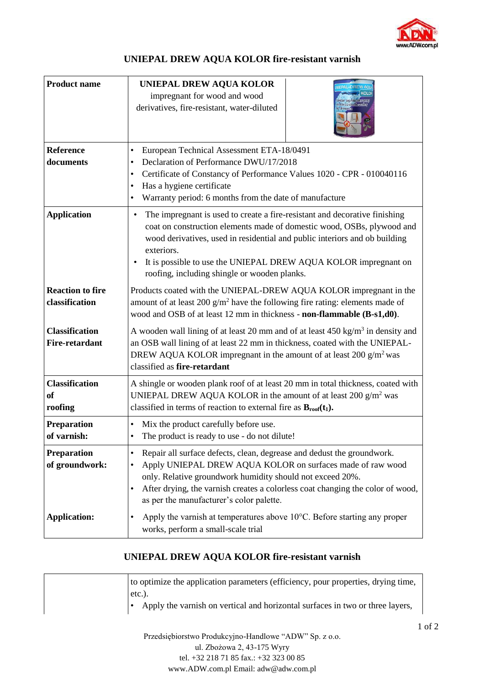

## **UNIEPAL DREW AQUA KOLOR fire-resistant varnish**

| <b>Product name</b>                            | <b>UNIEPAL DREW AQUA KOLOR</b><br>impregnant for wood and wood<br>derivatives, fire-resistant, water-diluted                                                                                                                                                                                                                                                                     |  |
|------------------------------------------------|----------------------------------------------------------------------------------------------------------------------------------------------------------------------------------------------------------------------------------------------------------------------------------------------------------------------------------------------------------------------------------|--|
| Reference<br>documents                         | European Technical Assessment ETA-18/0491<br>$\bullet$<br>Declaration of Performance DWU/17/2018<br>$\bullet$<br>Certificate of Constancy of Performance Values 1020 - CPR - 010040116<br>$\bullet$<br>Has a hygiene certificate<br>$\bullet$<br>Warranty period: 6 months from the date of manufacture<br>$\bullet$                                                             |  |
| <b>Application</b>                             | The impregnant is used to create a fire-resistant and decorative finishing<br>$\bullet$<br>coat on construction elements made of domestic wood, OSBs, plywood and<br>wood derivatives, used in residential and public interiors and ob building<br>exteriors.<br>It is possible to use the UNIEPAL DREW AQUA KOLOR impregnant on<br>roofing, including shingle or wooden planks. |  |
| <b>Reaction to fire</b><br>classification      | Products coated with the UNIEPAL-DREW AQUA KOLOR impregnant in the<br>amount of at least 200 $g/m^2$ have the following fire rating: elements made of<br>wood and OSB of at least 12 mm in thickness - non-flammable (B-s1,d0).                                                                                                                                                  |  |
| <b>Classification</b><br><b>Fire-retardant</b> | A wooden wall lining of at least 20 mm and of at least $450 \text{ kg/m}^3$ in density and<br>an OSB wall lining of at least 22 mm in thickness, coated with the UNIEPAL-<br>DREW AQUA KOLOR impregnant in the amount of at least 200 $g/m^2$ was<br>classified as fire-retardant                                                                                                |  |
| <b>Classification</b><br><b>of</b><br>roofing  | A shingle or wooden plank roof of at least 20 mm in total thickness, coated with<br>UNIEPAL DREW AQUA KOLOR in the amount of at least $200 \text{ g/m}^2$ was<br>classified in terms of reaction to external fire as $B_{\text{roof}}(t_1)$ .                                                                                                                                    |  |
| Preparation<br>of varnish:                     | Mix the product carefully before use.<br>$\bullet$<br>The product is ready to use - do not dilute!<br>$\bullet$                                                                                                                                                                                                                                                                  |  |
| Preparation<br>of groundwork:                  | Repair all surface defects, clean, degrease and dedust the groundwork.<br>$\bullet$<br>Apply UNIEPAL DREW AQUA KOLOR on surfaces made of raw wood<br>$\bullet$<br>only. Relative groundwork humidity should not exceed 20%.<br>After drying, the varnish creates a colorless coat changing the color of wood,<br>$\bullet$<br>as per the manufacturer's color palette.           |  |
| <b>Application:</b>                            | Apply the varnish at temperatures above $10^{\circ}$ C. Before starting any proper<br>$\bullet$<br>works, perform a small-scale trial                                                                                                                                                                                                                                            |  |

## **UNIEPAL DREW AQUA KOLOR fire-resistant varnish**

| to optimize the application parameters (efficiency, pour properties, drying time, |
|-----------------------------------------------------------------------------------|
| $etc.$ ).                                                                         |
| Apply the varnish on vertical and horizontal surfaces in two or three layers,     |